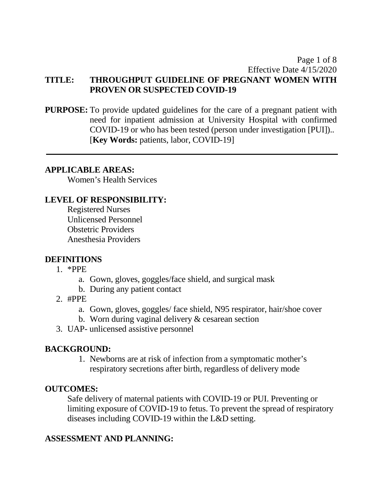### Page 1 of 8 Effective Date 4/15/2020 **TITLE: THROUGHPUT GUIDELINE OF PREGNANT WOMEN WITH PROVEN OR SUSPECTED COVID-19**

**PURPOSE:** To provide updated guidelines for the care of a pregnant patient with need for inpatient admission at University Hospital with confirmed COVID-19 or who has been tested (person under investigation [PUI]).. [**Key Words:** patients, labor, COVID-19]

#### **APPLICABLE AREAS:**

Women's Health Services

## **LEVEL OF RESPONSIBILITY:**

Registered Nurses Unlicensed Personnel Obstetric Providers Anesthesia Providers

### **DEFINITIONS**

- 1. \*PPE
	- a. Gown, gloves, goggles/face shield, and surgical mask
	- b. During any patient contact
- 2.  $#PPE$ 
	- a. Gown, gloves, goggles/ face shield, N95 respirator, hair/shoe cover
	- b. Worn during vaginal delivery & cesarean section
- 3. UAP- unlicensed assistive personnel

## **BACKGROUND:**

1. Newborns are at risk of infection from a symptomatic mother's respiratory secretions after birth, regardless of delivery mode

## **OUTCOMES:**

Safe delivery of maternal patients with COVID-19 or PUI. Preventing or limiting exposure of COVID-19 to fetus. To prevent the spread of respiratory diseases including COVID-19 within the L&D setting.

## **ASSESSMENT AND PLANNING:**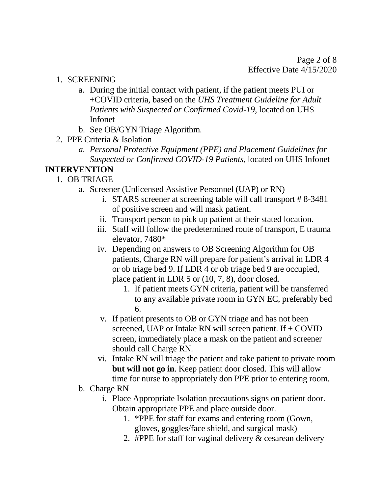- 1. SCREENING
	- a. During the initial contact with patient, if the patient meets PUI or +COVID criteria, based on the *UHS Treatment Guideline for Adult Patients with Suspected or Confirmed Covid-19, located on UHS* Infonet
	- b. See OB/GYN Triage Algorithm.
- 2. PPE Criteria & Isolation
	- *a. Personal Protective Equipment (PPE) and Placement Guidelines for Suspected or Confirmed COVID-19 Patients*, located on UHS Infonet

## **INTERVENTION**

- 1. OB TRIAGE
	- a. Screener (Unlicensed Assistive Personnel (UAP) or RN)
		- i. STARS screener at screening table will call transport # 8-3481 of positive screen and will mask patient.
		- ii. Transport person to pick up patient at their stated location.
		- iii. Staff will follow the predetermined route of transport, E trauma elevator, 7480\*
		- or ob triage bed 9. If LDR 4 or ob triage bed 9 are occupied, place patient in LDR 5 or (10, 7, 8), door closed. iv. Depending on answers to OB Screening Algorithm for OB patients, Charge RN will prepare for patient's arrival in LDR 4
			- 1. If patient meets GYN criteria, patient will be transferred to any available private room in GYN EC, preferably bed 6.
		- should call Charge RN. v. If patient presents to OB or GYN triage and has not been screened, UAP or Intake RN will screen patient. If  $+$  COVID screen, immediately place a mask on the patient and screener
		- vi. Intake RN will triage the patient and take patient to private room **but will not go in**. Keep patient door closed. This will allow time for nurse to appropriately don PPE prior to entering room.
	- b. Charge RN
		- i. Place Appropriate Isolation precautions signs on patient door. Obtain appropriate PPE and place outside door.
			- 1. \*PPE for staff for exams and entering room (Gown, gloves, goggles/face shield, and surgical mask)
			- 2. #PPE for staff for vaginal delivery & cesarean delivery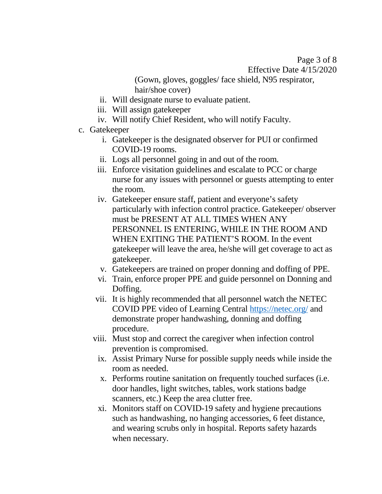Page 3 of 8 Effective Date 4/15/2020

(Gown, gloves, goggles/ face shield, N95 respirator, hair/shoe cover)

- ii. Will designate nurse to evaluate patient.
- iii. Will assign gatekeeper
- iv. Will notify Chief Resident, who will notify Faculty.
- c. Gatekeeper
	- i. Gatekeeper is the designated observer for PUI or confirmed COVID-19 rooms.
	- ii. Logs all personnel going in and out of the room.
	- iii. Enforce visitation guidelines and escalate to PCC or charge nurse for any issues with personnel or guests attempting to enter the room.
	- gatekeeper. iv. Gatekeeper ensure staff, patient and everyone's safety particularly with infection control practice. Gatekeeper/ observer must be PRESENT AT ALL TIMES WHEN ANY PERSONNEL IS ENTERING, WHILE IN THE ROOM AND WHEN EXITING THE PATIENT'S ROOM. In the event gatekeeper will leave the area, he/she will get coverage to act as
	- v. Gatekeepers are trained on proper donning and doffing of PPE.
	- vi. Train, enforce proper PPE and guide personnel on Donning and Doffing.
	- vii. It is highly recommended that all personnel watch the NETEC COVID PPE video of Learning Central<https://netec.org/>and demonstrate proper handwashing, donning and doffing procedure.
	- viii. Must stop and correct the caregiver when infection control prevention is compromised.
		- ix. Assist Primary Nurse for possible supply needs while inside the room as needed.
		- x. Performs routine sanitation on frequently touched surfaces (i.e. door handles, light switches, tables, work stations badge scanners, etc.) Keep the area clutter free.
		- xi. Monitors staff on COVID-19 safety and hygiene precautions such as handwashing, no hanging accessories, 6 feet distance, and wearing scrubs only in hospital. Reports safety hazards when necessary.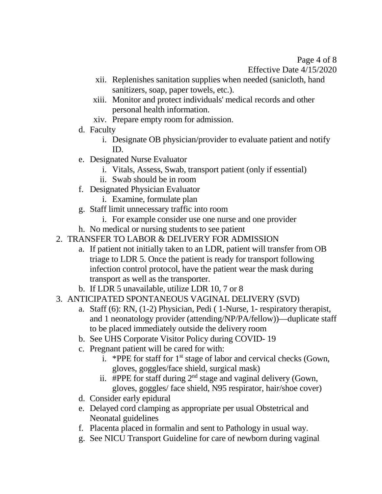Page 4 of 8 Effective Date 4/15/2020

- xii. Replenishes sanitation supplies when needed (sanicloth, hand sanitizers, soap, paper towels, etc.).
- xiii. Monitor and protect individuals' medical records and other personal health information.
- xiv. Prepare empty room for admission.
- d. Faculty
	- i. Designate OB physician/provider to evaluate patient and notify ID.
- e. Designated Nurse Evaluator
	- i. Vitals, Assess, Swab, transport patient (only if essential)
	- ii. Swab should be in room
- f. Designated Physician Evaluator
	- i. Examine, formulate plan
- g. Staff limit unnecessary traffic into room
	- i. For example consider use one nurse and one provider
- h. No medical or nursing students to see patient
- 2. TRANSFER TO LABOR & DELIVERY FOR ADMISSION
	- transport as well as the transporter. a. If patient not initially taken to an LDR, patient will transfer from OB triage to LDR 5. Once the patient is ready for transport following infection control protocol, have the patient wear the mask during
	- b. If LDR 5 unavailable, utilize LDR 10, 7 or 8
- 3. ANTICIPATED SPONTANEOUS VAGINAL DELIVERY (SVD)
	- a. Staff (6): RN, (1-2) Physician, Pedi ( 1-Nurse, 1- respiratory therapist, and 1 neonatology provider (attending/NP/PA/fellow))—duplicate staff to be placed immediately outside the delivery room
	- b. See UHS Corporate Visitor Policy during COVID- 19
	- c. Pregnant patient will be cared for with:
		- i. \*PPE for staff for  $1<sup>st</sup>$  stage of labor and cervical checks (Gown, gloves, goggles/face shield, surgical mask)
		- ii. #PPE for staff during  $2<sup>nd</sup>$  stage and vaginal delivery (Gown, gloves, goggles/ face shield, N95 respirator, hair/shoe cover)
	- d. Consider early epidural
	- e. Delayed cord clamping as appropriate per usual Obstetrical and Neonatal guidelines
	- f. Placenta placed in formalin and sent to Pathology in usual way.
	- g. See NICU Transport Guideline for care of newborn during vaginal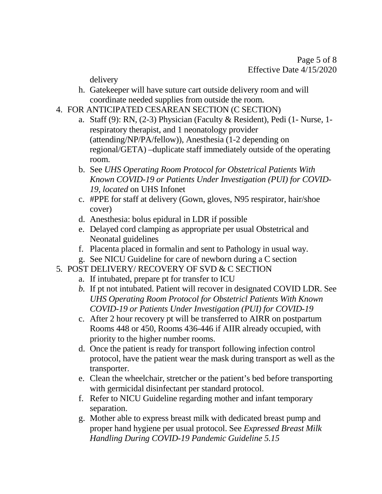delivery

- h. Gatekeeper will have suture cart outside delivery room and will coordinate needed supplies from outside the room.
- 4. FOR ANTICIPATED CESAREAN SECTION (C SECTION)
	- a. Staff (9): RN, (2-3) Physician (Faculty & Resident), Pedi (1- Nurse, 1 respiratory therapist, and 1 neonatology provider (attending/NP/PA/fellow)), Anesthesia (1-2 depending on regional/GETA) –duplicate staff immediately outside of the operating room.
	- b. See *UHS Operating Room Protocol for Obstetrical Patients With Known COVID-19 or Patients Under Investigation (PUI) for COVID-19, located* on UHS Infonet
	- c. #PPE for staff at delivery (Gown, gloves, N95 respirator, hair/shoe cover)
	- d. Anesthesia: bolus epidural in LDR if possible
	- e. Delayed cord clamping as appropriate per usual Obstetrical and Neonatal guidelines
	- f. Placenta placed in formalin and sent to Pathology in usual way.
	- g. See NICU Guideline for care of newborn during a C section
- 5. POST DELIVERY/ RECOVERY OF SVD & C SECTION
	- a. If intubated, prepare pt for transfer to ICU
	- *b.* If pt not intubated. Patient will recover in designated COVID LDR. See *UHS Operating Room Protocol for Obstetricl Patients With Known COVID-19 or Patients Under Investigation (PUI) for COVID-19*
	- c. After 2 hour recovery pt will be transferred to AIRR on postpartum Rooms 448 or 450, Rooms 436-446 if AIIR already occupied, with priority to the higher number rooms.
	- protocol, have the patient wear the mask during transport as well as the d. Once the patient is ready for transport following infection control transporter.
	- e. Clean the wheelchair, stretcher or the patient's bed before transporting with germicidal disinfectant per standard protocol.
	- f. Refer to NICU Guideline regarding mother and infant temporary separation.
	- g. Mother able to express breast milk with dedicated breast pump and proper hand hygiene per usual protocol. See *Expressed Breast Milk Handling During COVID-19 Pandemic Guideline 5.15*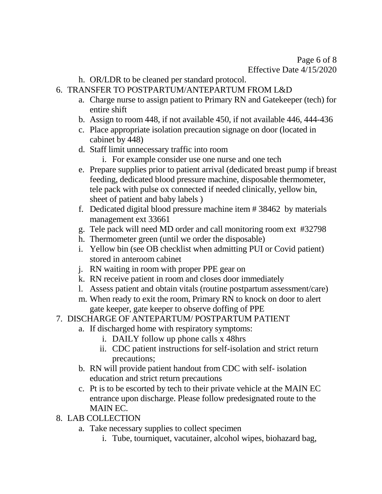- h. OR/LDR to be cleaned per standard protocol.
- 6. TRANSFER TO POSTPARTUM/ANTEPARTUM FROM L&D
	- a. Charge nurse to assign patient to Primary RN and Gatekeeper (tech) for entire shift
	- b. Assign to room 448, if not available 450, if not available 446, 444-436
	- c. Place appropriate isolation precaution signage on door (located in cabinet by 448)
	- d. Staff limit unnecessary traffic into room
		- i. For example consider use one nurse and one tech
	- e. Prepare supplies prior to patient arrival (dedicated breast pump if breast feeding, dedicated blood pressure machine, disposable thermometer, tele pack with pulse ox connected if needed clinically, yellow bin, sheet of patient and baby labels )
	- f. Dedicated digital blood pressure machine item # 38462 by materials management ext 33661
	- g. Tele pack will need MD order and call monitoring room ext #32798
	- h. Thermometer green (until we order the disposable)
	- i. Yellow bin (see OB checklist when admitting PUI or Covid patient) stored in anteroom cabinet
	- j. RN waiting in room with proper PPE gear on
	- k. RN receive patient in room and closes door immediately
	- l. Assess patient and obtain vitals (routine postpartum assessment/care)
	- m. When ready to exit the room, Primary RN to knock on door to alert gate keeper, gate keeper to observe doffing of PPE
- 7. DISCHARGE OF ANTEPARTUM/ POSTPARTUM PATIENT
	- a. If discharged home with respiratory symptoms:
		- i. DAILY follow up phone calls x 48hrs
		- ii. CDC patient instructions for self-isolation and strict return precautions;
	- b. RN will provide patient handout from CDC with self- isolation education and strict return precautions
	- c. Pt is to be escorted by tech to their private vehicle at the MAIN EC entrance upon discharge. Please follow predesignated route to the MAIN EC.
- 8. LAB COLLECTION
	- a. Take necessary supplies to collect specimen
		- i. Tube, tourniquet, vacutainer, alcohol wipes, biohazard bag,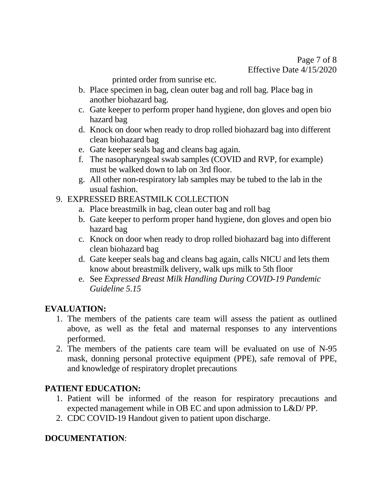printed order from sunrise etc.

- b. Place specimen in bag, clean outer bag and roll bag. Place bag in another biohazard bag.
- c. Gate keeper to perform proper hand hygiene, don gloves and open bio hazard bag
- d. Knock on door when ready to drop rolled biohazard bag into different clean biohazard bag
- e. Gate keeper seals bag and cleans bag again.
- must be walked down to lab on 3rd floor. f. The nasopharyngeal swab samples (COVID and RVP, for example)
- g. All other non-respiratory lab samples may be tubed to the lab in the usual fashion.
- 9. EXPRESSED BREASTMILK COLLECTION
	- a. Place breastmilk in bag, clean outer bag and roll bag
	- b. Gate keeper to perform proper hand hygiene, don gloves and open bio hazard bag
	- c. Knock on door when ready to drop rolled biohazard bag into different clean biohazard bag
	- know about breastmilk delivery, walk ups milk to 5th floor d. Gate keeper seals bag and cleans bag again, calls NICU and lets them
	- *Guideline 5.15* e. See *Expressed Breast Milk Handling During COVID-19 Pandemic*

## **EVALUATION:**

- above, as well as the fetal and maternal responses to any interventions 1. The members of the patients care team will assess the patient as outlined performed.
- 2. The members of the patients care team will be evaluated on use of N-95 mask, donning personal protective equipment (PPE), safe removal of PPE, and knowledge of respiratory droplet precautions

## **PATIENT EDUCATION:**

- 1. Patient will be informed of the reason for respiratory precautions and expected management while in OB EC and upon admission to L&D/ PP.
- 2. CDC COVID-19 Handout given to patient upon discharge.

## **DOCUMENTATION**: